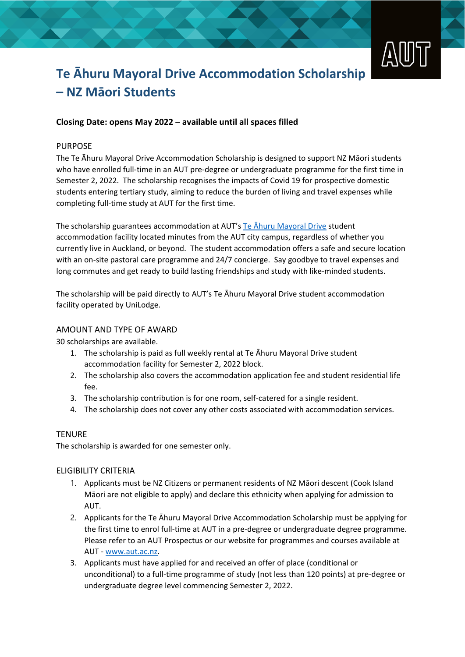

# **Te Āhuru Mayoral Drive Accommodation Scholarship – NZ Māori Students**

## **Closing Date: opens May 2022 – available until all spaces filled**

## PURPOSE

The Te Āhuru Mayoral Drive Accommodation Scholarship is designed to support NZ Māori students who have enrolled full-time in an AUT pre-degree or undergraduate programme for the first time in Semester 2, 2022. The scholarship recognises the impacts of Covid 19 for prospective domestic students entering tertiary study, aiming to reduce the burden of living and travel expenses while completing full-time study at AUT for the first time.

The scholarship guarantees accommodation at AUT's Te Āhuru [Mayoral Drive](https://www.aut.ac.nz/student-life/accommodation/te-ahuru-mayoral-drive-student-accommodation-city-campus) student accommodation facility located minutes from the AUT city campus, regardless of whether you currently live in Auckland, or beyond. The student accommodation offers a safe and secure location with an on-site pastoral care programme and 24/7 concierge. Say goodbye to travel expenses and long commutes and get ready to build lasting friendships and study with like-minded students.

The scholarship will be paid directly to AUT's Te Āhuru Mayoral Drive student accommodation facility operated by UniLodge.

### AMOUNT AND TYPE OF AWARD

30 scholarships are available.

- 1. The scholarship is paid as full weekly rental at Te Āhuru Mayoral Drive student accommodation facility for Semester 2, 2022 block.
- 2. The scholarship also covers the accommodation application fee and student residential life fee.
- 3. The scholarship contribution is for one room, self-catered for a single resident.
- 4. The scholarship does not cover any other costs associated with accommodation services.

#### **TFNURF**

The scholarship is awarded for one semester only.

## ELIGIBILITY CRITERIA

- 1. Applicants must be NZ Citizens or permanent residents of NZ Māori descent (Cook Island Māori are not eligible to apply) and declare this ethnicity when applying for admission to AUT.
- 2. Applicants for the Te Āhuru Mayoral Drive Accommodation Scholarship must be applying for the first time to enrol full-time at AUT in a pre-degree or undergraduate degree programme. Please refer to an AUT Prospectus or our website for programmes and courses available at AUT - [www.aut.ac.nz.](http://www.aut.ac.nz/)
- 3. Applicants must have applied for and received an offer of place (conditional or unconditional) to a full-time programme of study (not less than 120 points) at pre-degree or undergraduate degree level commencing Semester 2, 2022.